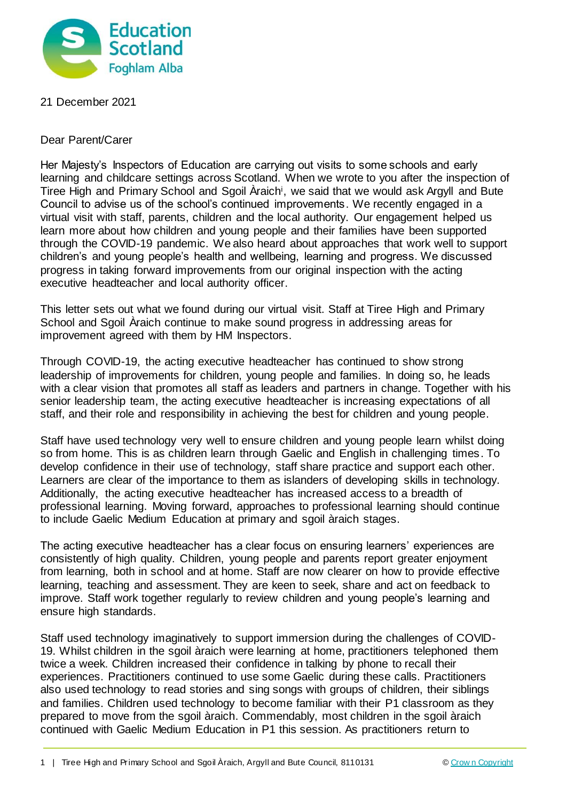

## 21 December 2021

Dear Parent/Carer

Her Majesty's Inspectors of Education are carrying out visits to some schools and early learning and childcare settings across Scotland. When we wrote to you after the inspection of Tiree High and Primary School and Sgoil Araich<sup>i</sup>, we said that we would ask Argyll and Bute Council to advise us of the school's continued improvements. We recently engaged in a virtual visit with staff, parents, children and the local authority. Our engagement helped us learn more about how children and young people and their families have been supported through the COVID-19 pandemic. We also heard about approaches that work well to support children's and young people's health and wellbeing, learning and progress. We discussed progress in taking forward improvements from our original inspection with the acting executive headteacher and local authority officer.

This letter sets out what we found during our virtual visit. Staff at Tiree High and Primary School and Sgoil Araich continue to make sound progress in addressing areas for improvement agreed with them by HM Inspectors.

Through COVID-19, the acting executive headteacher has continued to show strong leadership of improvements for children, young people and families. In doing so, he leads with a clear vision that promotes all staff as leaders and partners in change. Together with his senior leadership team, the acting executive headteacher is increasing expectations of all staff, and their role and responsibility in achieving the best for children and young people.

Staff have used technology very well to ensure children and young people learn whilst doing so from home. This is as children learn through Gaelic and English in challenging times. To develop confidence in their use of technology, staff share practice and support each other. Learners are clear of the importance to them as islanders of developing skills in technology. Additionally, the acting executive headteacher has increased access to a breadth of professional learning. Moving forward, approaches to professional learning should continue to include Gaelic Medium Education at primary and sgoil àraich stages.

The acting executive headteacher has a clear focus on ensuring learners' experiences are consistently of high quality. Children, young people and parents report greater enjoyment from learning, both in school and at home. Staff are now clearer on how to provide effective learning, teaching and assessment. They are keen to seek, share and act on feedback to improve. Staff work together regularly to review children and young people's learning and ensure high standards.

Staff used technology imaginatively to support immersion during the challenges of COVID-19. Whilst children in the sgoil àraich were learning at home, practitioners telephoned them twice a week. Children increased their confidence in talking by phone to recall their experiences. Practitioners continued to use some Gaelic during these calls. Practitioners also used technology to read stories and sing songs with groups of children, their siblings and families. Children used technology to become familiar with their P1 classroom as they prepared to move from the sgoil àraich. Commendably, most children in the sgoil àraich continued with Gaelic Medium Education in P1 this session. As practitioners return to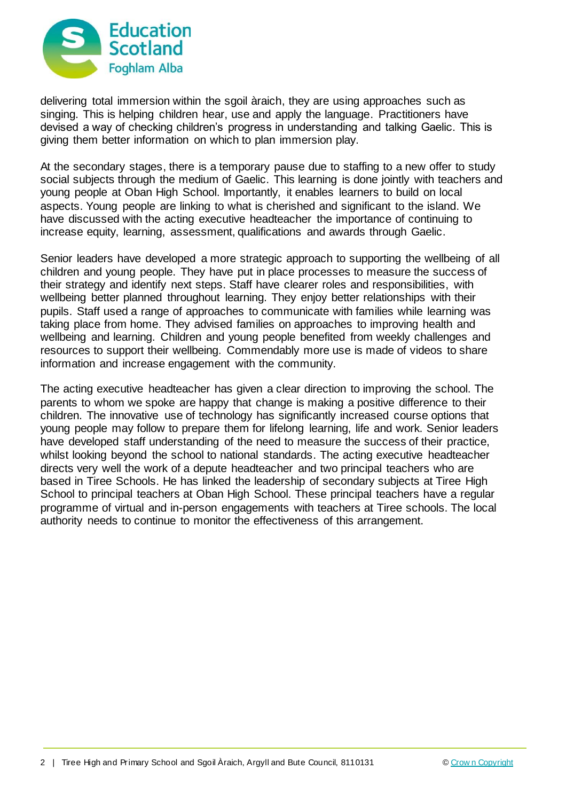

delivering total immersion within the sgoil àraich, they are using approaches such as singing. This is helping children hear, use and apply the language. Practitioners have devised a way of checking children's progress in understanding and talking Gaelic. This is giving them better information on which to plan immersion play.

At the secondary stages, there is a temporary pause due to staffing to a new offer to study social subjects through the medium of Gaelic. This learning is done jointly with teachers and young people at Oban High School. Importantly, it enables learners to build on local aspects. Young people are linking to what is cherished and significant to the island. We have discussed with the acting executive headteacher the importance of continuing to increase equity, learning, assessment, qualifications and awards through Gaelic.

Senior leaders have developed a more strategic approach to supporting the wellbeing of all children and young people. They have put in place processes to measure the success of their strategy and identify next steps. Staff have clearer roles and responsibilities, with wellbeing better planned throughout learning. They enjoy better relationships with their pupils. Staff used a range of approaches to communicate with families while learning was taking place from home. They advised families on approaches to improving health and wellbeing and learning. Children and young people benefited from weekly challenges and resources to support their wellbeing. Commendably more use is made of videos to share information and increase engagement with the community.

The acting executive headteacher has given a clear direction to improving the school. The parents to whom we spoke are happy that change is making a positive difference to their children. The innovative use of technology has significantly increased course options that young people may follow to prepare them for lifelong learning, life and work. Senior leaders have developed staff understanding of the need to measure the success of their practice, whilst looking beyond the school to national standards. The acting executive headteacher directs very well the work of a depute headteacher and two principal teachers who are based in Tiree Schools. He has linked the leadership of secondary subjects at Tiree High School to principal teachers at Oban High School. These principal teachers have a regular programme of virtual and in-person engagements with teachers at Tiree schools. The local authority needs to continue to monitor the effectiveness of this arrangement.